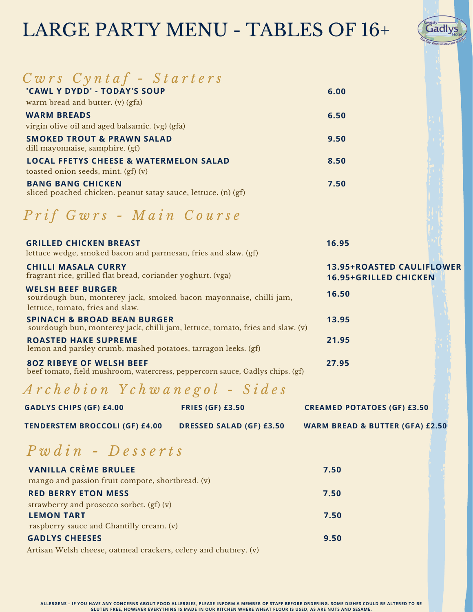# LARGE PARTY MENU - TABLES OF 16+



| $Cwrs$ Cyntaf - Starters                                                                                                           |                                                                  |  |
|------------------------------------------------------------------------------------------------------------------------------------|------------------------------------------------------------------|--|
| 'CAWL Y DYDD' - TODAY'S SOUP                                                                                                       | 6.00                                                             |  |
| warm bread and butter. (v) (gfa)                                                                                                   |                                                                  |  |
| <b>WARM BREADS</b>                                                                                                                 | 6.50                                                             |  |
| virgin olive oil and aged balsamic. (vg) (gfa)                                                                                     |                                                                  |  |
| <b>SMOKED TROUT &amp; PRAWN SALAD</b>                                                                                              | 9.50                                                             |  |
| dill mayonnaise, samphire. (gf)                                                                                                    |                                                                  |  |
| <b>LOCAL FFETYS CHEESE &amp; WATERMELON SALAD</b>                                                                                  | 8.50                                                             |  |
| toasted onion seeds, mint. (gf) (v)                                                                                                |                                                                  |  |
| <b>BANG BANG CHICKEN</b><br>sliced poached chicken. peanut satay sauce, lettuce. (n) (gf)                                          | 7.50                                                             |  |
|                                                                                                                                    |                                                                  |  |
| Prif Gwrs - Main Course                                                                                                            |                                                                  |  |
| <b>GRILLED CHICKEN BREAST</b><br>lettuce wedge, smoked bacon and parmesan, fries and slaw. (gf)                                    | 16.95                                                            |  |
| <b>CHILLI MASALA CURRY</b><br>fragrant rice, grilled flat bread, coriander yoghurt. (vga)                                          | <b>13.95+ROASTED CAULIFLOWER</b><br><b>16.95+GRILLED CHICKEN</b> |  |
| <b>WELSH BEEF BURGER</b><br>sourdough bun, monterey jack, smoked bacon mayonnaise, chilli jam,<br>lettuce, tomato, fries and slaw. | 16.50                                                            |  |
| <b>SPINACH &amp; BROAD BEAN BURGER</b><br>sourdough bun, monterey jack, chilli jam, lettuce, tomato, fries and slaw. (v)           | 13.95                                                            |  |
| <b>ROASTED HAKE SUPREME</b><br>lemon and parsley crumb, mashed potatoes, tarragon leeks. (gf)                                      | 21.95                                                            |  |
| <b>802 RIBEYE OF WELSH BEEF</b><br>beef tomato, field mushroom, watercress, peppercorn sauce, Gadlys chips. (gf)                   | 27.95                                                            |  |
| Archebion Ychwanegol - Sides                                                                                                       |                                                                  |  |
| <b>GADLYS CHIPS (GF) £4.00</b><br><b>FRIES (GF) £3.50</b>                                                                          | <b>CREAMED POTATOES (GF) £3.50</b>                               |  |

### *P w d i n - D e s s e r t s*

| <b>VANILLA CRÈME BRULEE</b>                                                                                                                                                                                                                                                                                                                                                                                                                                 | 7.50 |
|-------------------------------------------------------------------------------------------------------------------------------------------------------------------------------------------------------------------------------------------------------------------------------------------------------------------------------------------------------------------------------------------------------------------------------------------------------------|------|
| mango and passion fruit compote, shortbread. (v)                                                                                                                                                                                                                                                                                                                                                                                                            |      |
| <b>RED BERRY ETON MESS</b>                                                                                                                                                                                                                                                                                                                                                                                                                                  | 7.50 |
| strawberry and prosecco sorbet. (gf) (v)                                                                                                                                                                                                                                                                                                                                                                                                                    |      |
| <b>LEMON TART</b>                                                                                                                                                                                                                                                                                                                                                                                                                                           | 7.50 |
| raspberry sauce and Chantilly cream. (v)                                                                                                                                                                                                                                                                                                                                                                                                                    |      |
| <b>GADLYS CHEESES</b>                                                                                                                                                                                                                                                                                                                                                                                                                                       | 9.50 |
| $\lambda$ , $\lambda$ , $\lambda$ , $\lambda$ , $\lambda$ , $\lambda$ , $\lambda$ , $\lambda$ , $\lambda$ , $\lambda$ , $\lambda$ , $\lambda$ , $\lambda$ , $\lambda$ , $\lambda$ , $\lambda$ , $\lambda$ , $\lambda$ , $\lambda$ , $\lambda$ , $\lambda$ , $\lambda$ , $\lambda$ , $\lambda$ , $\lambda$ , $\lambda$ , $\lambda$ , $\lambda$ , $\lambda$ , $\lambda$ , $\lambda$ , $\lambda$ , $\lambda$ , $\lambda$ , $\lambda$ , $\lambda$ , $\lambda$ , |      |

Artisan Welsh cheese, oatmeal crackers, celery and chutney. (v)

ALLERGENS - IF YOU HAVE ANY CONCERNS ABOUT FOOD ALLERGIES, PLEASE INFORM A MEMBER OF STAFF BEFORE ORDERING. SOME DISHES COULD BE ALTERED TO BE GLUTEN FREE, HOWEVER EVERYTHING IS MADE IN OUR KITCHEN WHERE WHEAT FLOUR IS USED, AS ARE NUTS AND SESAME.

**TENDERSTEM BROCCOLI (GF) £4.00 DRESSED SALAD (GF) £3.50 WARM BREAD & BUTTER (GFA) £2.50**